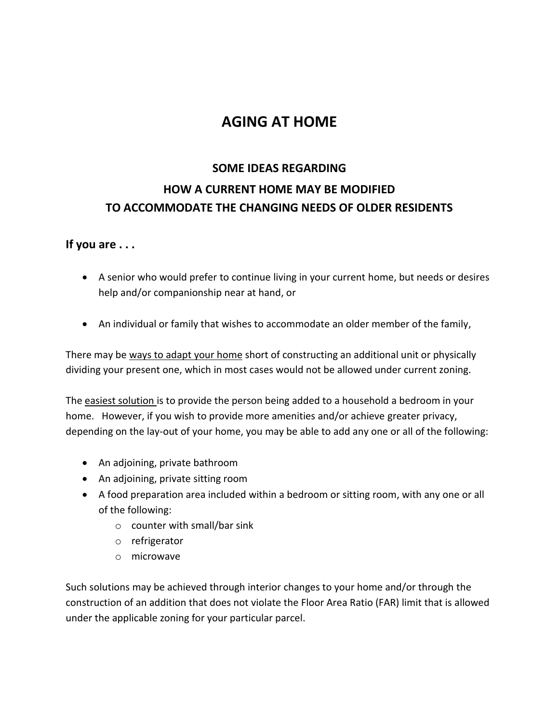## **AGING AT HOME**

# **SOME IDEAS REGARDING HOW A CURRENT HOME MAY BE MODIFIED TO ACCOMMODATE THE CHANGING NEEDS OF OLDER RESIDENTS**

#### **If you are . . .**

- A senior who would prefer to continue living in your current home, but needs or desires help and/or companionship near at hand, or
- An individual or family that wishes to accommodate an older member of the family,

There may be ways to adapt your home short of constructing an additional unit or physically dividing your present one, which in most cases would not be allowed under current zoning.

The easiest solution is to provide the person being added to a household a bedroom in your home. However, if you wish to provide more amenities and/or achieve greater privacy, depending on the lay-out of your home, you may be able to add any one or all of the following:

- An adjoining, private bathroom
- An adjoining, private sitting room
- A food preparation area included within a bedroom or sitting room, with any one or all of the following:
	- o counter with small/bar sink
	- o refrigerator
	- o microwave

Such solutions may be achieved through interior changes to your home and/or through the construction of an addition that does not violate the Floor Area Ratio (FAR) limit that is allowed under the applicable zoning for your particular parcel.